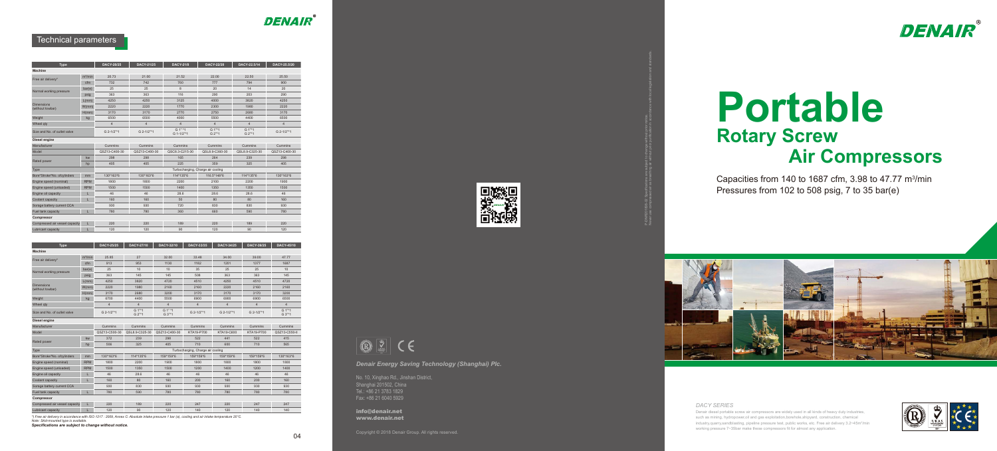Capacities from 140 to 1687 cfm, 3.98 to 47.77  $m^3/m$ in Pressures from 102 to 508 psig, 7 to 35 bar(e)



Denair diesel portable screw air compressors are widely used in all kinds of heavy duty industries, such as mining, hydropower,oil and gas exploitation,borehole,shipyard, construction, chemical industry,quarry,sandblasting, pipeline pressure test, public works, etc. Free air delivery 3.2~45m<sup>3</sup>/min working pressure 7~35bar make these compressors fit for almost any application.



# **Portable Rotary Screw Air Compressors**

#### *DACY SERIES*

*Denair Energy Saving Technology (Shanghai) Plc.*

No. 10, Xinghao Rd., Jinshan District, Shanghai 201502, China Tel.: +86 21 3783 1829 Fax: +86 21 6040 5929

info@denair.net www.denair.net



P-DNR201808-02 Specifications are subject to change without prior notice.

Never use compressed air as breathing air without prior purification in accordance with local legislation and standards.



# **DENAIR**

### Technical parameters

*\*) Free air delivery in accordance with ISO 1217 : 2009, Annex C: Absolute intake pressure 1 bar (a), cooling and air intake temperature 20°C.*

*Note: Skid-mounted type is available.*

*Specifications are subject to change without notice.*



**B** 2 CE

| <b>Type</b>                           |                     | <b>DACY-20/25</b> | <b>DACY-21/25</b> | <b>DACY-21/8</b>      | <b>DACY-22/20</b>                 | DACY-22.5/14     | DACY-25.5/20   |
|---------------------------------------|---------------------|-------------------|-------------------|-----------------------|-----------------------------------|------------------|----------------|
| <b>Machine</b>                        |                     |                   |                   |                       |                                   |                  |                |
|                                       | m <sup>3</sup> /min | 20.73             | 21.00             | 21.52                 | 22.00                             | 22.50            | 25.50          |
| Free air delivery*                    | cfm                 | 732               | 742               | 760                   | 777                               | 794              | 900            |
|                                       | bar(e)              | 25                | 25                | 8                     | 20                                | 14               | 20             |
| Normal working pressure               | psig                | 363               | 363               | 116                   | 290                               | 203              | 290            |
|                                       | L(mm)               | 4250              | 4250              | 3125                  | 4000                              | 3820             | 4250           |
| <b>Dimensions</b><br>(without towbar) | W/mm)               | 2220              | 2220              | 1770                  | 2300                              | 1980             | 2220           |
|                                       | H(mm)               | 3170              | 3170              | 2770                  | 2750                              | 2680             | 3170           |
| Weight                                | kg                  | 6500              | 6500              | 4000                  | 5500                              | 4400             | 6500           |
| Wheel qty                             |                     | $\overline{4}$    | $\overline{4}$    | $\overline{4}$        | $\overline{4}$                    | $\overline{4}$   | $\overline{4}$ |
| Size and No. of outlet valve          |                     | G 2-1/2"*1        | G 2-1/2"*1        | G 1" *1<br>G 1-1/2"*1 | G 1"*1<br>G 2"*1                  | G 1"*1<br>G 2"*1 | G 2-1/2"*1     |
| Diesel engine                         |                     |                   |                   |                       |                                   |                  |                |
| Manufacturer                          |                     | Cummins           | Cummins           | Cummins               | Cummins                           | Cummins          | Cummins        |
| Model                                 |                     | QSZ13-C400-30     | QSZ13-C400-30     | QSC8.3-C215-30        | QSL8.9-C360-30                    | QSL8.9-C325-30   | QSZ13-C400-30  |
|                                       | kw                  | 298               | 298               | 165                   | 264                               | 239              | 298            |
| Rated power                           | hp                  | 405               | 405               | 225                   | 359                               | 325              | 405            |
| <b>Type</b>                           |                     |                   |                   |                       | Turbocharging, Charge air cooling |                  |                |
| Bore*Stroke*No. ofcylinders           | mm                  | 130*163*6         | 130*163*6         | 114*135*6             | 116.5*148*6                       | 114*135*6        | 130*163*6      |
| Engine speed (nominal)                | <b>RPM</b>          | 1800              | 1800              | 2200                  | 2100                              | 2200             | 1900           |
| Engine speed (unloaded)               | <b>RPM</b>          | 1500              | 1500              | 1400                  | 1350                              | 1350             | 1500           |
| Engine oil capacity                   | L                   | 46                | 46                | 28.6                  | 28.6                              | 28.6             | 46             |
| Coolant capacity                      | L                   | 160               | 160               | 50                    | 80                                | 80               | 160            |
| Sorage battery current CCA            |                     | 930               | 930               | 720                   | 830                               | 830              | 930            |
| Fuel tank capacity                    | L                   | 780               | 780               | 360                   | 660                               | 590              | 780            |
| Compressor                            |                     |                   |                   |                       |                                   |                  |                |
| Compressed air vessel capacity        | L                   | 220               | 220               | 189                   | 220                               | 189              | 220            |
| Lubricant capacity                    |                     | 120               | 120               | 90                    | 120                               | 90               | 120            |

| <b>Type</b>                           |                     | <b>DACY-25/25</b> | <b>DACY-27/10</b>    | DACY-32/10        | DACY-33/35     | <b>DACY-34/25</b> | DACY-39/25     | <b>DACY 45/10</b>  |
|---------------------------------------|---------------------|-------------------|----------------------|-------------------|----------------|-------------------|----------------|--------------------|
| <b>Machine</b>                        |                     |                   |                      |                   |                |                   |                |                    |
| Free air delivery*                    | m <sup>3</sup> /min | 25.85             | 27                   | 32.00             | 33.48          | 34.00             | 39.00          | 47.77              |
|                                       | cfm                 | 913               | 953                  | 1130              | 1182           | 1201              | 1377           | 1687               |
| Normal working pressure               | bar(e)              | 25                | 10                   | 10                | 35             | 25                | 25             | 10                 |
|                                       | psig                | 363               | 145                  | 145               | 508            | 363               | 363            | 145                |
|                                       | $L/mm$ )            | 4250              | 3820                 | 4720              | 4510           | 4250              | 4510           | 4720               |
| <b>Dimensions</b><br>(without towbar) | W/mm                | 2220              | 1980                 | 2160              | 2160           | 2220              | 2160           | 2160               |
|                                       | H(mm)               | 3170              | 2680                 | 3200              | 3170           | 3170              | 3170           | 3200               |
| Weight                                | kg                  | 6700              | 4400                 | 5500              | 6900           | 6900              | 6900           | 6500               |
| Wheel gty                             |                     | 4                 | $\overline{4}$       | $\overline{4}$    | $\overline{4}$ | $\overline{4}$    | $\overline{4}$ | $\overline{4}$     |
| Size and No. of outlet valve          |                     | G 2-1/2"*1        | $G 1" * 1$<br>G 2"*1 | G 1" *1<br>G 3"*1 | G 2-1/2"*1     | G 2-1/2"*1        | G 2-1/2"*1     | $G 1m*1$<br>G 3"*1 |
| Diesel engine                         |                     |                   |                      |                   |                |                   |                |                    |
| Manufacturer                          |                     | Cummins           | Cummins              | Cummins           | Cummins        | Cummins           | Cummins        | Cummins            |

| Model                          |            | QSZ13-C500-30 | QSL8.9-C325-30 | QSZ13-C400-30 | KTA19-P700                        | KTA19-C600 | KTA19-P700 | QSZ13-C550-II |
|--------------------------------|------------|---------------|----------------|---------------|-----------------------------------|------------|------------|---------------|
|                                | kw         | 372           | 239            | 298           | 522                               | 441        | 522        | 415           |
| Rated power                    | hp         | 506           | 325            | 405           | 710                               | 600        | 710        | 565           |
| Type                           |            |               |                |               | Turbocharging, Charge air cooling |            |            |               |
| Bore*Stroke*No. ofcylinders    | mm         | 130*163*6     | 114*135*6      | 159*159*6     | 159*159*6                         | 159*159*6  | 159*159*6  | $130*163*6$   |
| Engine speed (nominal)         | <b>RPM</b> | 1800          | 2200           | 1900          | 1800                              | 1800       | 1800       | 1800          |
| Engine speed (unloaded)        | <b>RPM</b> | 1500          | 1350           | 1500          | 1200                              | 1400       | 1200       | 1400          |
| Engine oil capacity            |            | 46            | 28.6           | 46            | 46                                | 46         | 46         | 46            |
| Coolant capacity               |            | 160           | 80             | 160           | 200                               | 160        | 200        | 160           |
| Sorage battery current CCA     |            | 930           | 830            | 930           | 930                               | 930        | 930        | 930           |
| Fuel tank capacity             |            | 780           | 590            | 780           | 780                               | 780        | 780        | 780           |
| Compressor                     |            |               |                |               |                                   |            |            |               |
| Compressed air vessel capacity |            | 220           | 189            | 220           | 247                               | 220        | 247        | 247           |
| Lubricant capacity             |            | 120           | 90             | 120           | 140                               | 120        | 140        | 140           |